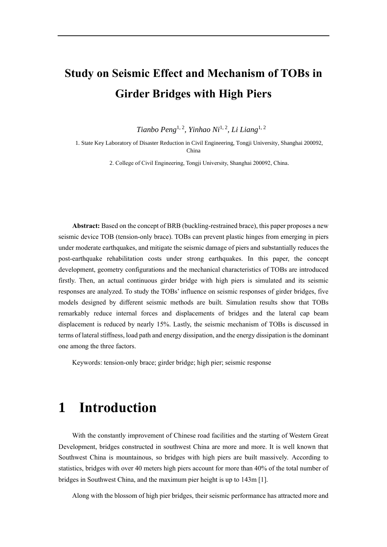# **Study on Seismic Effect and Mechanism of TOBs in Girder Bridges with High Piers**

Tianbo Peng<sup>1, 2</sup>, Yinhao Ni<sup>1, 2</sup>, Li Liang<sup>1, 2</sup>

1. State Key Laboratory of Disaster Reduction in Civil Engineering, Tongji University, Shanghai 200092, China

2. College of Civil Engineering, Tongji University, Shanghai 200092, China.

**Abstract:** Based on the concept of BRB (buckling-restrained brace), this paper proposes a new seismic device TOB (tension-only brace). TOBs can prevent plastic hinges from emerging in piers under moderate earthquakes, and mitigate the seismic damage of piers and substantially reduces the post-earthquake rehabilitation costs under strong earthquakes. In this paper, the concept development, geometry configurations and the mechanical characteristics of TOBs are introduced firstly. Then, an actual continuous girder bridge with high piers is simulated and its seismic responses are analyzed. To study the TOBs' influence on seismic responses of girder bridges, five models designed by different seismic methods are built. Simulation results show that TOBs remarkably reduce internal forces and displacements of bridges and the lateral cap beam displacement is reduced by nearly 15%. Lastly, the seismic mechanism of TOBs is discussed in terms of lateral stiffness, load path and energy dissipation, and the energy dissipation is the dominant one among the three factors.

Keywords: tension-only brace; girder bridge; high pier; seismic response

## **1 Introduction**

With the constantly improvement of Chinese road facilities and the starting of Western Great Development, bridges constructed in southwest China are more and more. It is well known that Southwest China is mountainous, so bridges with high piers are built massively. According to statistics, bridges with over 40 meters high piers account for more than 40% of the total number of bridges in Southwest China, and the maximum pier height is up to 143m [\[1\].](#page-14-0)

Along with the blossom of high pier bridges, their seismic performance has attracted more and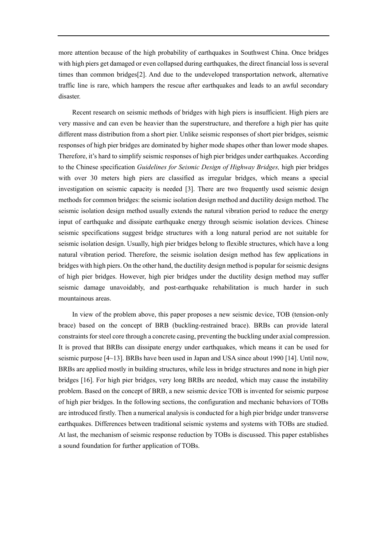more attention because of the high probability of earthquakes in Southwest China. Once bridges with high piers get damaged or even collapsed during earthquakes, the direct financial loss is several times than common bridge[s\[2\].](#page-14-1) And due to the undeveloped transportation network, alternative traffic line is rare, which hampers the rescue after earthquakes and leads to an awful secondary disaster.

Recent research on seismic methods of bridges with high piers is insufficient. High piers are very massive and can even be heavier than the superstructure, and therefore a high pier has quite different mass distribution from a short pier. Unlike seismic responses of short pier bridges, seismic responses of high pier bridges are dominated by higher mode shapes other than lower mode shapes. Therefore, it's hard to simplify seismic responses of high pier bridges under earthquakes. According to the Chinese specification *Guidelines for Seismic Design of Highway Bridges,* high pier bridges with over 30 meters high piers are classified as irregular bridges, which means a special investigation on seismic capacity is needed [\[3\].](#page-14-2) There are two frequently used seismic design methods for common bridges: the seismic isolation design method and ductility design method. The seismic isolation design method usually extends the natural vibration period to reduce the energy input of earthquake and dissipate earthquake energy through seismic isolation devices. Chinese seismic specifications suggest bridge structures with a long natural period are not suitable for seismic isolation design. Usually, high pier bridges belong to flexible structures, which have a long natural vibration period. Therefore, the seismic isolation design method has few applications in bridges with high piers. On the other hand, the ductility design method is popular for seismic designs of high pier bridges. However, high pier bridges under the ductility design method may suffer seismic damage unavoidably, and post-earthquake rehabilitation is much harder in such mountainous areas.

In view of the problem above, this paper proposes a new seismic device, TOB (tension-only brace) based on the concept of BRB (buckling-restrained brace). BRBs can provide lateral constraints for steel core through a concrete casing, preventing the buckling under axial compression. It is proved that BRBs can dissipate energy under earthquakes, which means it can be used for seismic purpose [4~13]. BRBs have been used in Japan and USA since about 199[0 \[14\].](#page-15-0) Until now, BRBs are applied mostly in building structures, while less in bridge structures and none in high pier bridges [\[16\].](#page-15-1) For high pier bridges, very long BRBs are needed, which may cause the instability problem. Based on the concept of BRB, a new seismic device TOB is invented for seismic purpose of high pier bridges. In the following sections, the configuration and mechanic behaviors of TOBs are introduced firstly. Then a numerical analysis is conducted for a high pier bridge under transverse earthquakes. Differences between traditional seismic systems and systems with TOBs are studied. At last, the mechanism of seismic response reduction by TOBs is discussed. This paper establishes a sound foundation for further application of TOBs.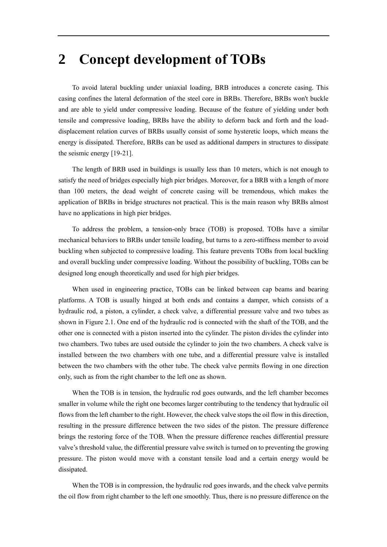## **2 Concept development of TOBs**

To avoid lateral buckling under uniaxial loading, BRB introduces a concrete casing. This casing confines the lateral deformation of the steel core in BRBs. Therefore, BRBs won't buckle and are able to yield under compressive loading. Because of the feature of yielding under both tensile and compressive loading, BRBs have the ability to deform back and forth and the loaddisplacement relation curves of BRBs usually consist of some hysteretic loops, which means the energy is dissipated. Therefore, BRBs can be used as additional dampers in structures to dissipate the seismic energy [19-21].

The length of BRB used in buildings is usually less than 10 meters, which is not enough to satisfy the need of bridges especially high pier bridges. Moreover, for a BRB with a length of more than 100 meters, the dead weight of concrete casing will be tremendous, which makes the application of BRBs in bridge structures not practical. This is the main reason why BRBs almost have no applications in high pier bridges.

To address the problem, a tension-only brace (TOB) is proposed. TOBs have a similar mechanical behaviors to BRBs under tensile loading, but turns to a zero-stiffness member to avoid buckling when subjected to compressive loading. This feature prevents TOBs from local buckling and overall buckling under compressive loading. Without the possibility of buckling, TOBs can be designed long enough theoretically and used for high pier bridges.

When used in engineering practice, TOBs can be linked between cap beams and bearing platforms. A TOB is usually hinged at both ends and contains a damper, which consists of a hydraulic rod, a piston, a cylinder, a check valve, a differential pressure valve and two tubes as shown in [Figure 2.1.](#page-3-0) One end of the hydraulic rod is connected with the shaft of the TOB, and the other one is connected with a piston inserted into the cylinder. The piston divides the cylinder into two chambers. Two tubes are used outside the cylinder to join the two chambers. A check valve is installed between the two chambers with one tube, and a differential pressure valve is installed between the two chambers with the other tube. The check valve permits flowing in one direction only, such as from the right chamber to the left one as shown.

When the TOB is in tension, the hydraulic rod goes outwards, and the left chamber becomes smaller in volume while the right one becomes larger contributing to the tendency that hydraulic oil flows from the left chamber to the right. However, the check valve stops the oil flow in this direction, resulting in the pressure difference between the two sides of the piston. The pressure difference brings the restoring force of the TOB. When the pressure difference reaches differential pressure valve's threshold value, the differential pressure valve switch is turned on to preventing the growing pressure. The piston would move with a constant tensile load and a certain energy would be dissipated.

When the TOB is in compression, the hydraulic rod goes inwards, and the check valve permits the oil flow from right chamber to the left one smoothly. Thus, there is no pressure difference on the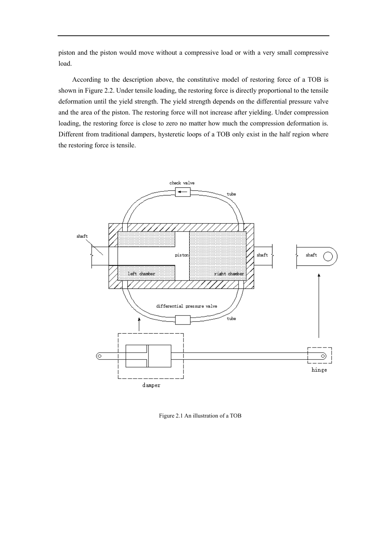piston and the piston would move without a compressive load or with a very small compressive load.

According to the description above, the constitutive model of restoring force of a TOB is shown i[n Figure 2.2.](#page-4-0) Under tensile loading, the restoring force is directly proportional to the tensile deformation until the yield strength. The yield strength depends on the differential pressure valve and the area of the piston. The restoring force will not increase after yielding. Under compression loading, the restoring force is close to zero no matter how much the compression deformation is. Different from traditional dampers, hysteretic loops of a TOB only exist in the half region where the restoring force is tensile.



<span id="page-3-0"></span>Figure 2.1 An illustration of a TOB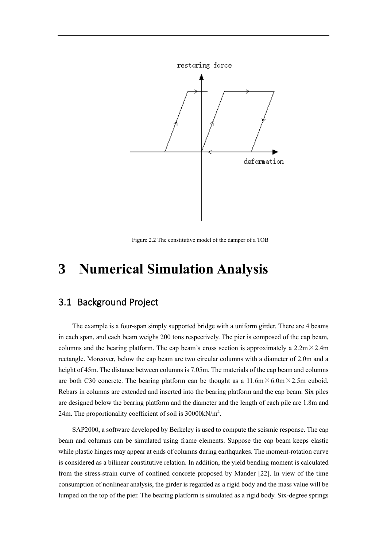

Figure 2.2 The constitutive model of the damper of a TOB

# <span id="page-4-0"></span>**3 Numerical Simulation Analysis**

### 3.1 Background Project

The example is a four-span simply supported bridge with a uniform girder. There are 4 beams in each span, and each beam weighs 200 tons respectively. The pier is composed of the cap beam, columns and the bearing platform. The cap beam's cross section is approximately a  $2.2m \times 2.4m$ rectangle. Moreover, below the cap beam are two circular columns with a diameter of 2.0m and a height of 45m. The distance between columns is 7.05m. The materials of the cap beam and columns are both C30 concrete. The bearing platform can be thought as a  $11.6 \text{m} \times 6.0 \text{m} \times 2.5 \text{m}$  cuboid. Rebars in columns are extended and inserted into the bearing platform and the cap beam. Six piles are designed below the bearing platform and the diameter and the length of each pile are 1.8m and 24m. The proportionality coefficient of soil is 30000kN/m<sup>4</sup>.

SAP2000, a software developed by Berkeley is used to compute the seismic response. The cap beam and columns can be simulated using frame elements. Suppose the cap beam keeps elastic while plastic hinges may appear at ends of columns during earthquakes. The moment-rotation curve is considered as a bilinear constitutive relation. In addition, the yield bending moment is calculated from the stress-strain curve of confined concrete proposed by Mander [\[22\].](#page-15-2) In view of the time consumption of nonlinear analysis, the girder is regarded as a rigid body and the mass value will be lumped on the top of the pier. The bearing platform is simulated as a rigid body. Six-degree springs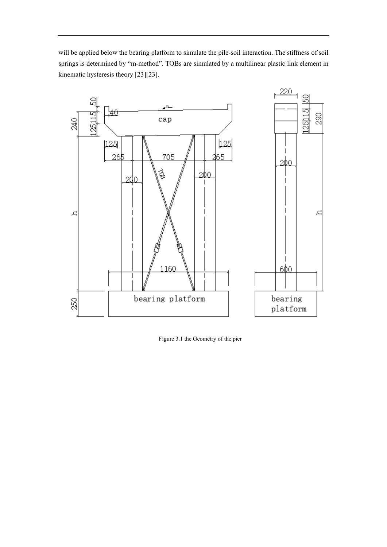will be applied below the bearing platform to simulate the pile-soil interaction. The stiffness of soil springs is determined by "m-method". TOBs are simulated by a multilinear plastic link element in kinematic hysteresis theory [\[23\]\[23\].](#page-15-3)



Figure 3.1 the Geometry of the pier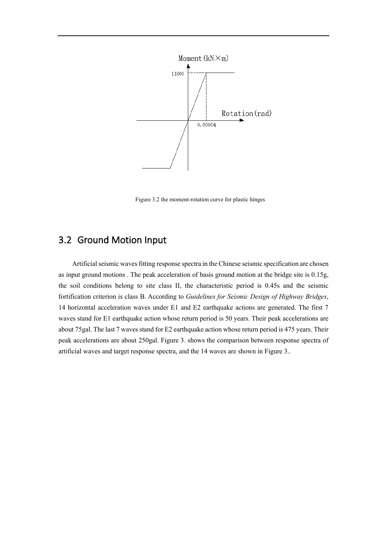

Figure 3.2 the moment-rotation curve for plastic hinges

## 3.2 Ground Motion Input

Artificial seismic waves fitting response spectra in the Chinese seismic specification are chosen as input ground motions . The peak acceleration of basis ground motion at the bridge site is 0.15g, the soil conditions belong to site class II, the characteristic period is 0.45s and the seismic fortification criterion is class B. According to *Guidelines for Seismic Design of Highway Bridges*, 14 horizontal acceleration waves under E1 and E2 earthquake actions are generated. The first 7 waves stand for E1 earthquake action whose return period is 50 years. Their peak accelerations are about 75gal. The last 7 waves stand for E2 earthquake action whose return period is 475 years. Their peak accelerations are about 250gal. [Figure 3.](#page-7-0) shows the comparison between response spectra of artificial waves and target response spectra, and the 14 waves are shown in [Figure 3..](#page-7-0)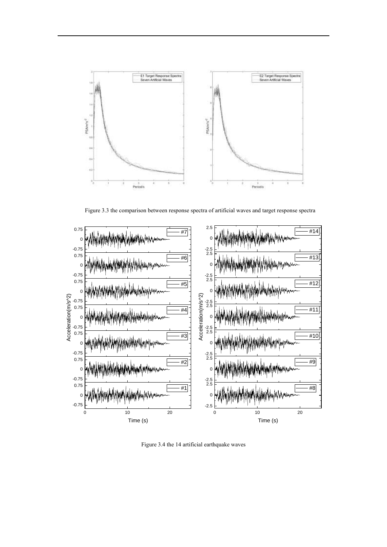

Figure 3.3 the comparison between response spectra of artificial waves and target response spectra

<span id="page-7-0"></span>

Figure 3.4 the 14 artificial earthquake waves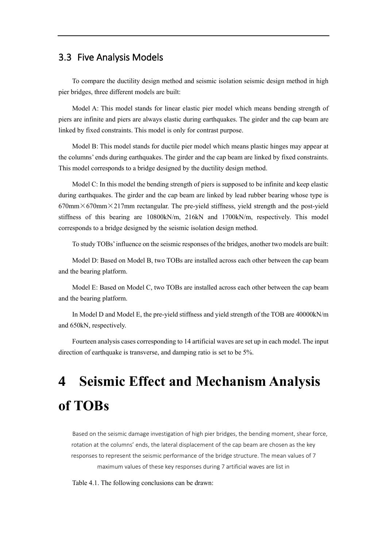## 3.3 Five Analysis Models

To compare the ductility design method and seismic isolation seismic design method in high pier bridges, three different models are built:

Model A: This model stands for linear elastic pier model which means bending strength of piers are infinite and piers are always elastic during earthquakes. The girder and the cap beam are linked by fixed constraints. This model is only for contrast purpose.

Model B: This model stands for ductile pier model which means plastic hinges may appear at the columns' ends during earthquakes. The girder and the cap beam are linked by fixed constraints. This model corresponds to a bridge designed by the ductility design method.

Model C: In this model the bending strength of piers is supposed to be infinite and keep elastic during earthquakes. The girder and the cap beam are linked by lead rubber bearing whose type is  $670 \text{mm} \times 670 \text{mm} \times 217 \text{mm}$  rectangular. The pre-yield stiffness, yield strength and the post-yield stiffness of this bearing are 10800kN/m, 216kN and 1700kN/m, respectively. This model corresponds to a bridge designed by the seismic isolation design method.

To study TOBs' influence on the seismic responses of the bridges, another two models are built:

Model D: Based on Model B, two TOBs are installed across each other between the cap beam and the bearing platform.

Model E: Based on Model C, two TOBs are installed across each other between the cap beam and the bearing platform.

In Model D and Model E, the pre-yield stiffness and yield strength of the TOB are 40000kN/m and 650kN, respectively.

Fourteen analysis cases corresponding to 14 artificial waves are set up in each model. The input direction of earthquake is transverse, and damping ratio is set to be 5%.

# **4 Seismic Effect and Mechanism Analysis of TOBs**

Based on the seismic damage investigation of high pier bridges, the bending moment, shear force, rotation at the columns' ends, the lateral displacement of the cap beam are chosen as the key responses to represent the seismic performance of the bridge structure. The mean values of 7 maximum values of these key responses during 7 artificial waves are list in

[Table 4.1.](#page-9-0) The following conclusions can be drawn: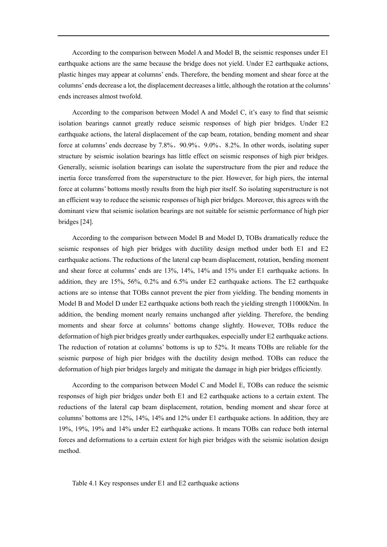According to the comparison between Model A and Model B, the seismic responses under E1 earthquake actions are the same because the bridge does not yield. Under E2 earthquake actions, plastic hinges may appear at columns' ends. Therefore, the bending moment and shear force at the columns' ends decrease a lot, the displacement decreases a little, although the rotation at the columns' ends increases almost twofold.

According to the comparison between Model A and Model C, it's easy to find that seismic isolation bearings cannot greatly reduce seismic responses of high pier bridges. Under E2 earthquake actions, the lateral displacement of the cap beam, rotation, bending moment and shear force at columns' ends decrease by 7.8%、90.9%、9.0%、8.2%. In other words, isolating super structure by seismic isolation bearings has little effect on seismic responses of high pier bridges. Generally, seismic isolation bearings can isolate the superstructure from the pier and reduce the inertia force transferred from the superstructure to the pier. However, for high piers, the internal force at columns' bottoms mostly results from the high pier itself. So isolating superstructure is not an efficient way to reduce the seismic responses of high pier bridges. Moreover, this agrees with the dominant view that seismic isolation bearings are not suitable for seismic performance of high pier bridges [\[24\].](#page-15-4)

According to the comparison between Model B and Model D, TOBs dramatically reduce the seismic responses of high pier bridges with ductility design method under both E1 and E2 earthquake actions. The reductions of the lateral cap beam displacement, rotation, bending moment and shear force at columns' ends are 13%, 14%, 14% and 15% under E1 earthquake actions. In addition, they are 15%, 56%, 0.2% and 6.5% under E2 earthquake actions. The E2 earthquake actions are so intense that TOBs cannot prevent the pier from yielding. The bending moments in Model B and Model D under E2 earthquake actions both reach the yielding strength 11000kNm. In addition, the bending moment nearly remains unchanged after yielding. Therefore, the bending moments and shear force at columns' bottoms change slightly. However, TOBs reduce the deformation of high pier bridges greatly under earthquakes, especially under E2 earthquake actions. The reduction of rotation at columns' bottoms is up to 52%. It means TOBs are reliable for the seismic purpose of high pier bridges with the ductility design method. TOBs can reduce the deformation of high pier bridges largely and mitigate the damage in high pier bridges efficiently.

According to the comparison between Model C and Model E, TOBs can reduce the seismic responses of high pier bridges under both E1 and E2 earthquake actions to a certain extent. The reductions of the lateral cap beam displacement, rotation, bending moment and shear force at columns' bottoms are 12%, 14%, 14% and 12% under E1 earthquake actions. In addition, they are 19%, 19%, 19% and 14% under E2 earthquake actions. It means TOBs can reduce both internal forces and deformations to a certain extent for high pier bridges with the seismic isolation design method.

<span id="page-9-0"></span>Table 4.1 Key responses under E1 and E2 earthquake actions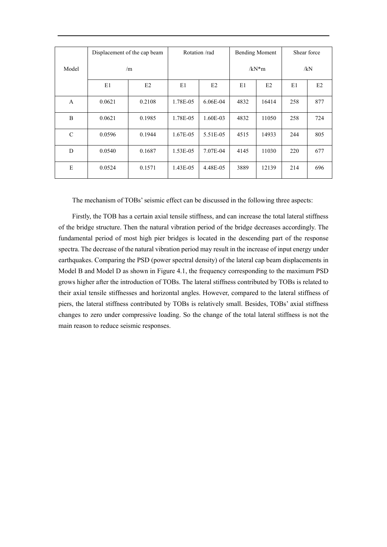|               | Displacement of the cap beam |        | Rotation/rad |            | <b>Bending Moment</b> |       | Shear force |     |
|---------------|------------------------------|--------|--------------|------------|-----------------------|-------|-------------|-----|
| Model         |                              | /m     |              |            | $/kN*m$               |       | /kN         |     |
|               | E1                           | E2     | E1           | E2         | E1                    | E2    | E1          | E2  |
| A             | 0.0621                       | 0.2108 | 1.78E-05     | $6.06E-04$ | 4832                  | 16414 | 258         | 877 |
| B             | 0.0621                       | 0.1985 | 1.78E-05     | 1.60E-03   | 4832                  | 11050 | 258         | 724 |
| $\mathcal{C}$ | 0.0596                       | 0.1944 | 1.67E-05     | 5.51E-05   | 4515                  | 14933 | 244         | 805 |
| D             | 0.0540                       | 0.1687 | 1.53E-05     | 7.07E-04   | 4145                  | 11030 | 220         | 677 |
| E             | 0.0524                       | 0.1571 | 1.43E-05     | 4.48E-05   | 3889                  | 12139 | 214         | 696 |

The mechanism of TOBs' seismic effect can be discussed in the following three aspects:

Firstly, the TOB has a certain axial tensile stiffness, and can increase the total lateral stiffness of the bridge structure. Then the natural vibration period of the bridge decreases accordingly. The fundamental period of most high pier bridges is located in the descending part of the response spectra. The decrease of the natural vibration period may result in the increase of input energy under earthquakes. Comparing the PSD (power spectral density) of the lateral cap beam displacements in Model B and Model D as shown in [Figure 4.1,](#page-11-0) the frequency corresponding to the maximum PSD grows higher after the introduction of TOBs. The lateral stiffness contributed by TOBs is related to their axial tensile stiffnesses and horizontal angles. However, compared to the lateral stiffness of piers, the lateral stiffness contributed by TOBs is relatively small. Besides, TOBs' axial stiffness changes to zero under compressive loading. So the change of the total lateral stiffness is not the main reason to reduce seismic responses.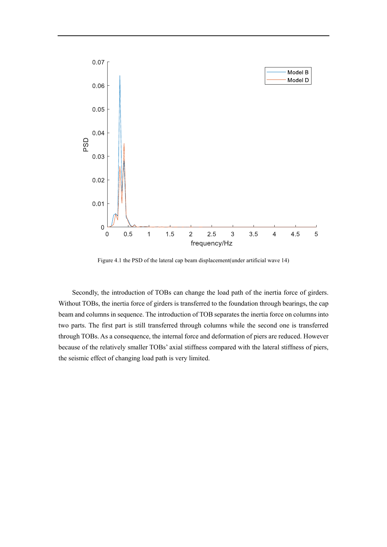

Figure 4.1 the PSD of the lateral cap beam displacement(under artificial wave 14)

<span id="page-11-0"></span>Secondly, the introduction of TOBs can change the load path of the inertia force of girders. Without TOBs, the inertia force of girders is transferred to the foundation through bearings, the cap beam and columns in sequence. The introduction of TOB separates the inertia force on columns into two parts. The first part is still transferred through columns while the second one is transferred through TOBs. As a consequence, the internal force and deformation of piers are reduced. However because of the relatively smaller TOBs' axial stiffness compared with the lateral stiffness of piers, the seismic effect of changing load path is very limited.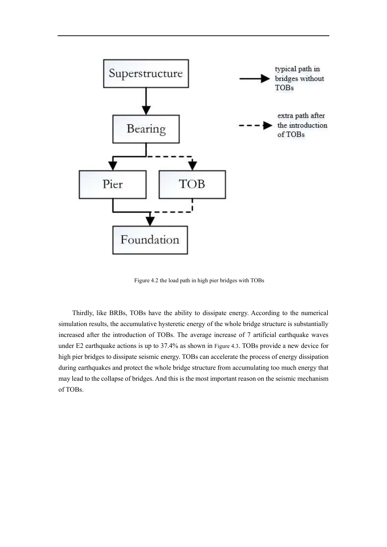

Figure 4.2 the load path in high pier bridges with TOBs

Thirdly, like BRBs, TOBs have the ability to dissipate energy. According to the numerical simulation results, the accumulative hysteretic energy of the whole bridge structure is substantially increased after the introduction of TOBs. The average increase of 7 artificial earthquake waves under E2 earthquake actions is up to 37.4% as shown in [Figure 4.3](#page-13-0). TOBs provide a new device for high pier bridges to dissipate seismic energy. TOBs can accelerate the process of energy dissipation during earthquakes and protect the whole bridge structure from accumulating too much energy that may lead to the collapse of bridges. And this is the most important reason on the seismic mechanism of TOBs.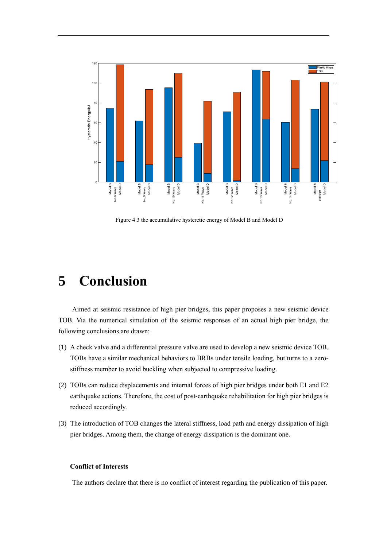

<span id="page-13-0"></span>Figure 4.3 the accumulative hysteretic energy of Model B and Model D

## **5 Conclusion**

Aimed at seismic resistance of high pier bridges, this paper proposes a new seismic device TOB. Via the numerical simulation of the seismic responses of an actual high pier bridge, the following conclusions are drawn:

- (1) A check valve and a differential pressure valve are used to develop a new seismic device TOB. TOBs have a similar mechanical behaviors to BRBs under tensile loading, but turns to a zerostiffness member to avoid buckling when subjected to compressive loading.
- (2) TOBs can reduce displacements and internal forces of high pier bridges under both E1 and E2 earthquake actions. Therefore, the cost of post-earthquake rehabilitation for high pier bridges is reduced accordingly.
- (3) The introduction of TOB changes the lateral stiffness, load path and energy dissipation of high pier bridges. Among them, the change of energy dissipation is the dominant one.

#### **Conflict of Interests**

The authors declare that there is no conflict of interest regarding the publication of this paper.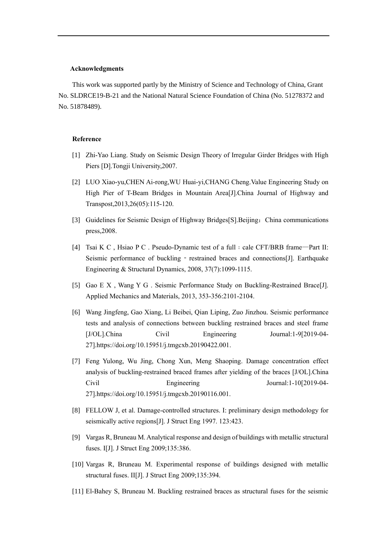#### **Acknowledgments**

This work was supported partly by the Ministry of Science and Technology of China, Grant No. SLDRCE19-B-21 and the National Natural Science Foundation of China (No. 51278372 and No. 51878489).

#### **Reference**

- <span id="page-14-0"></span>[1] Zhi-Yao Liang. Study on Seismic Design Theory of Irregular Girder Bridges with High Piers [D].Tongji University,2007.
- <span id="page-14-1"></span>[2] LUO Xiao-yu,CHEN Ai-rong,WU Huai-yi,CHANG Cheng.Value Engineering Study on High Pier of T-Beam Bridges in Mountain Area[J].China Journal of Highway and Transpost,2013,26(05):115-120.
- <span id="page-14-2"></span>[3] Guidelines for Seismic Design of Highway Bridges[S].Beijing:China communications press,2008.
- [4] Tsai K C, Hsiao P C. Pseudo-Dynamic test of a full : cale CFT/BRB frame—Part II: Seismic performance of buckling  $\overline{\phantom{a}}$ -restrained braces and connections[J]. Earthquake Engineering & Structural Dynamics, 2008, 37(7):1099-1115.
- [5] Gao E X , Wang Y G . Seismic Performance Study on Buckling-Restrained Brace[J]. Applied Mechanics and Materials, 2013, 353-356:2101-2104.
- [6] Wang Jingfeng, Gao Xiang, Li Beibei, Qian Liping, Zuo Jinzhou. Seismic performance tests and analysis of connections between buckling restrained braces and steel frame [J/OL].China Civil Engineering Journal:1-9[2019-04- 27].https://doi.org/10.15951/j.tmgcxb.20190422.001.
- [7] Feng Yulong, Wu Jing, Chong Xun, Meng Shaoping. Damage concentration effect analysis of buckling-restrained braced frames after yielding of the braces [J/OL].China Civil Engineering Journal:1-10[2019-04-27].https://doi.org/10.15951/j.tmgcxb.20190116.001.
- [8] FELLOW J, et al. Damage-controlled structures. I: preliminary design methodology for seismically active regions[J]. J Struct Eng 1997. 123:423.
- [9] Vargas R, Bruneau M. Analytical response and design of buildings with metallic structural fuses. I[J]. J Struct Eng 2009;135:386.
- [10] Vargas R, Bruneau M. Experimental response of buildings designed with metallic structural fuses. II[J]. J Struct Eng 2009;135:394.
- [11] El-Bahey S, Bruneau M. Buckling restrained braces as structural fuses for the seismic